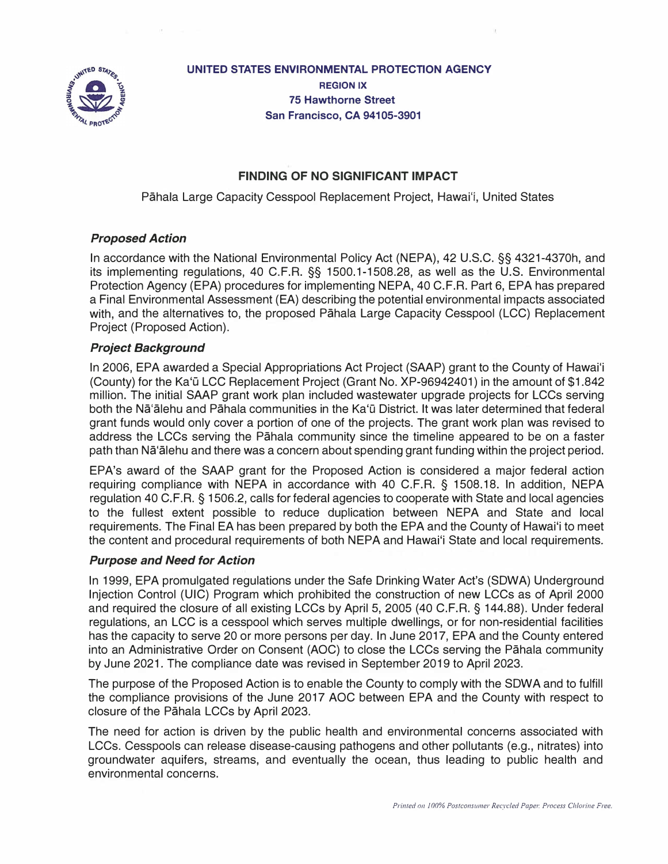

**UNITED STATES ENVIRONMENTAL PROTECTION AGENCY REGION IX 75 Hawthorne Street San Francisco, CA 94105-3901** 

# **FINDING OF NO SIGNIFICANT IMPACT**

Pahala Large Capacity Cesspool Replacement Project, Hawai'i, United States

## *Proposed Action*

In accordance with the National Environmental Policy Act (NEPA), 42 U.S.C. §§ 4321-4370h, and its implementing regulations, 40 C.F.R. §§ 1500.1-1508.28, as well as the U.S. Environmental Protection Agency (EPA) procedures for implementing NEPA, 40 C.F.R. Part 6, EPA has prepared a Final Environmental Assessment (EA) describing the potential environmental impacts associated with, and the alternatives to, the proposed Pahala Large Capacity Cesspool (LCC) Replacement Project (Proposed Action).

## *Project Background*

In 2006, EPA awarded a Special Appropriations Act Project (SAAP) grant to the County of Hawai'i (County) for the Ka'ū LCC Replacement Project (Grant No. XP-96942401) in the amount of \$1.842 million. The initial SAAP grant work plan included wastewater upgrade projects for LCCs serving both the Na<sup>'</sup>alehu and Pahala communities in the Ka'ū District. It was later determined that federal grant funds would only cover a portion of one of the projects. The grant work plan was revised to address the LCCs serving the Pahala community since the timeline appeared to be on a faster path than Nā'ālehu and there was a concern about spending grant funding within the project period.

EPA's award of the SAAP grant for the Proposed Action is considered a major federal action requiring compliance with NEPA in accordance with 40 C.F.R. § 1508.18. In addition, NEPA regulation 40 C.F.R. § 1506.2, calls for federal agencies to cooperate with State and local agencies to the fullest extent possible to reduce duplication between NEPA and State and local requirements. The Final EA has been prepared by both the EPA and the County of Hawai'i to meet the content and procedural requirements of both NEPA and Hawai'i State and local requirements.

## *Purpose and Need for Action*

In 1999, EPA promulgated regulations under the Safe Drinking Water Act's (SOWA) Underground Injection Control (UIC) Program which prohibited the construction of new LCCs as of April 2000 and required the closure of all existing LCCs by April 5, 2005 (40 C.F.R. § 144.88). Under federal regulations, an LCC is a cesspool which serves multiple dwellings, or for non-residential facilities has the capacity to serve 20 or more persons per day. In June 2017, EPA and the County entered into an Administrative Order on Consent (AOC) to close the LCCs serving the Pahala community by June 2021. The compliance date was revised in September 2019 to April 2023.

The purpose of the Proposed Action is to enable the County to comply with the SOWA and to fulfill the compliance provisions of the June 2017 AOC between EPA and the County with respect to closure of the Pahala LCCs by April 2023.

The need for action is driven by the public health and environmental concerns associated with LCCs. Cesspools can release disease-causing pathogens and other pollutants (e.g., nitrates) into groundwater aquifers, streams, and eventually the ocean, thus leading to public health and environmental concerns.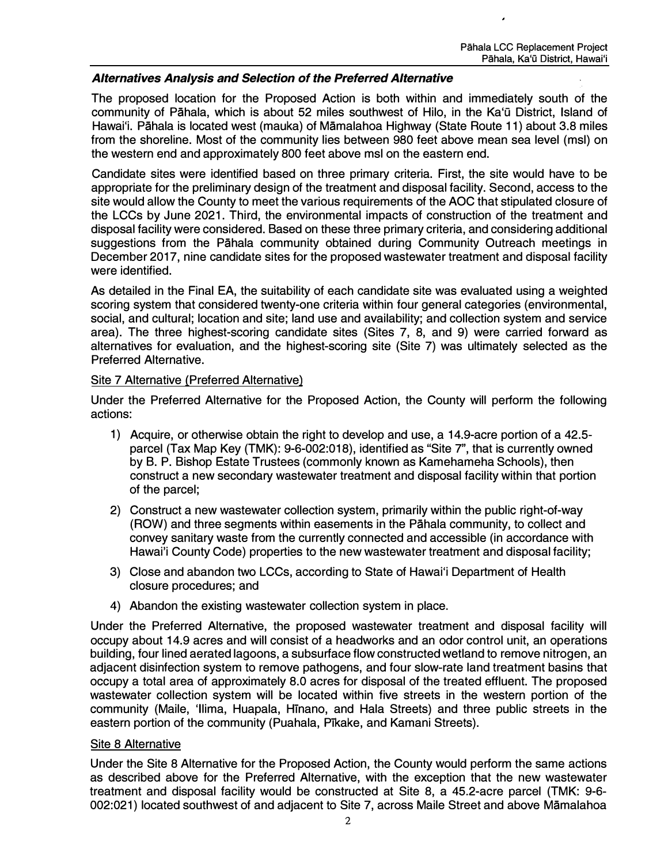## *Alternatives Analysis and Selection of the Preferred Alternative*

The proposed location for the Proposed Action is both within and immediately south of the community of Pāhala, which is about 52 miles southwest of Hilo, in the Ka'ū District, Island of Hawai'i. Pahala is located west (mauka) of Mamalahoa Highway (State Route 11) about 3.8 miles from the shoreline. Most of the community lies between 980 feet above mean sea level (msl) on the western end and approximately 800 feet above msl on the eastern end.

Candidate sites were identified based on three primary criteria. First, the site would have to be appropriate for the preliminary design of the treatment and disposal facility. Second, access to the site would allow the County to meet the various requirements of the AOC that stipulated closure of the LCCs by June 2021. Third, the environmental impacts of construction of the treatment and disposal facility were considered. Based on these three primary criteria, and considering additional suggestions from the Pahala community obtained during Community Outreach meetings in December 2017, nine candidate sites for the proposed wastewater treatment and disposal facility were identified.

As detailed in the Final EA, the suitability of each candidate site was evaluated using a weighted scoring system that considered twenty-one criteria within four general categories (environmental, social, and cultural; location and site; land use and availability; and collection system and service area). The three highest-scoring candidate sites (Sites 7, 8, and 9) were carried forward as alternatives for evaluation, and the highest-scoring site (Site 7) was ultimately selected as the Preferred Alternative.

## Site 7 Alternative (Preferred Alternative)

Under the Preferred Alternative for the Proposed Action, the County will perform the following actions:

- 1) Acquire, or otherwise obtain the right to develop and use, a 14.9-acre portion of a 42.5 parcel (Tax Map Key (TMK): 9-6-002:018), identified as "Site 7", that is currently owned by B. P. Bishop Estate Trustees (commonly known as Kamehameha Schools), then construct a new secondary wastewater treatment and disposal facility within that portion of the parcel;
- 2) Construct a new wastewater collection system, primarily within the public right-of-way (ROW) and three segments within easements in the Pahala community, to collect and convey sanitary waste from the currently connected and accessible (in accordance with Hawai'i County Code) properties to the new wastewater treatment and disposal facility;
- 3) Close and abandon two LCCs, according to State of Hawai'i Department of Health closure procedures; and
- 4) Abandon the existing wastewater collection system in place.

Under the Preferred Alternative, the proposed wastewater treatment and disposal facility will occupy about 14.9 acres and will consist of a headworks and an odor control unit, an operations building, four lined aerated lagoons, a subsurface flow constructed wetland to remove nitrogen, an adjacent disinfection system to remove pathogens, and four slow-rate land treatment basins that occupy a total area of approximately 8.0 acres for disposal of the treated effluent. The proposed wastewater collection system will be located within five streets in the western portion of the community (Maile, 'llima, Huapala, Hinano, and Hala Streets) and three public streets in the eastern portion of the community (Puahala, Pikake, and Kamani Streets).

## Site 8 Alternative

Under the Site 8 Alternative for the Proposed Action, the County would perform the same actions as described above for the Preferred Alternative, with the exception that the new wastewater treatment and disposal facility would be constructed at Site 8, a 45.2-acre parcel (TMK: 9-6- 002:021) located southwest of and adjacent to Site 7, across Maile Street and above Mamalahoa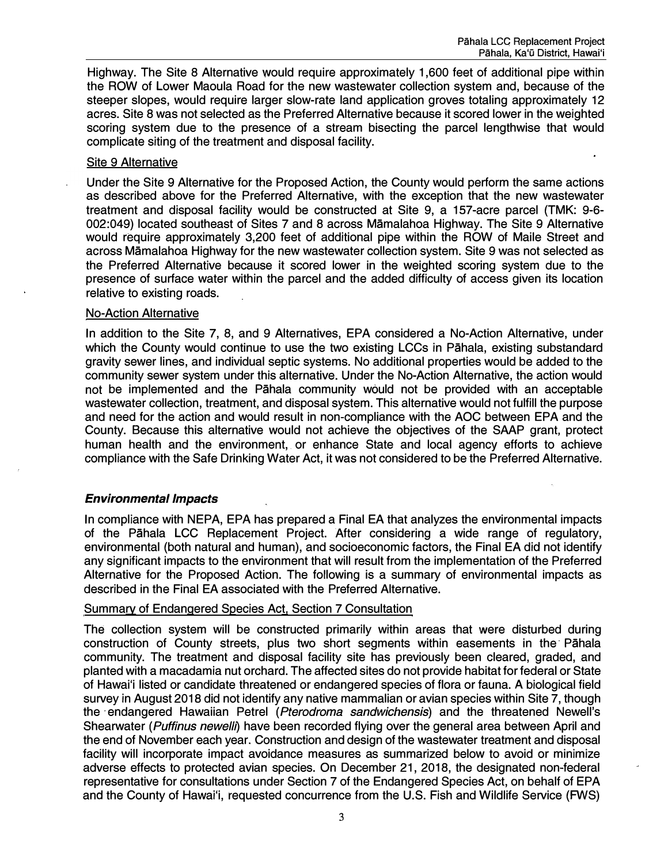Highway. The Site 8 Alternative would require approximately 1,600 feet of additional pipe within the ROW of Lower Maoula Road for the new wastewater collection system and, because of the steeper slopes, would require larger slow-rate land application groves totaling approximately 12 acres. Site 8 was not selected as the Preferred Alternative because it scored lower in the weighted scoring system due to the presence of a stream bisecting the parcel lengthwise that would complicate siting of the treatment and disposal facility.

## Site 9 Alternative

Under the Site 9 Alternative for the Proposed Action, the County would perform the same actions as described above for the Preferred Alternative, with the exception that the new wastewater treatment and disposal facility would be constructed at Site 9, a 157-acre parcel (TMK: 9-6- 002:049) located southeast of Sites 7 and 8 across Mamalahoa Highway. The Site 9 Alternative would require approximately 3,200 feet of additional pipe within the ROW of Maile Street and across Mamalahoa Highway for the new wastewater Collection system. Site 9 was not selected as the Preferred Alternative because it scored lower in the weighted scoring system due to the presence of surface water within the parcel and the added difficulty of access given its location relative to existing roads.

#### No-Action Alternative

In addition to the Site 7, 8, and 9 Alternatives, EPA considered a No-Action Alternative, under which the County would continue to use the two existing LCCs in Pahala, existing substandard gravity sewer lines, and individual septic systems. No additional properties would be added to the community sewer system under this alternative. Under the No-Action Alternative, the action would not be implemented and the Pahala community would not be provided with an acceptable wastewater collection, treatment, and disposal system. This alternative would not fulfill the purpose and need for the action and would result in non-compliance with the AOC between EPA and the County. Because this alternative would not achieve the objectives of the SAAP grant, protect human health and the environment, or enhance State and local agency efforts to achieve compliance with the Safe Drinking Water Act, it was not considered to be the Preferred Alternative.

## *Environmental Impacts*

In compliance with NEPA, EPA has prepared a Final EA that analyzes the environmental impacts of the Pahala LCC Replacement Project. After considering a wide range of regulatory, environmental (both natural and human), and socioeconomic factors, the Final EA did not identify any significant impacts to the environment that will result from the implementation of the Preferred Alternative for the Proposed Action. The following is a summary of environmental impacts as described in the Final EA associated with the Preferred Alternative.

## Summary of Endangered Species Act. Section 7 Consultation

The collection system will be constructed primarily within areas that were disturbed during construction of County streets, plus two short segments within easements in the Pahala community. The treatment and disposal facility site has previously been cleared, graded, and planted with a macadamia nut orchard. The affected sites do not provide habitat for federal or State of Hawai'i listed or candidate threatened or endangered species of flora or fauna. A biological field survey in August 2018 did not identify any native mammalian or avian species within Site 7, though the ·endangered Hawaiian Petrel *(Pterodroma sandwichensis)* and the threatened Newell's Shearwater *(Puffinus newe/11)* have been recorded flying over the general area between April and the end of November each year. Construction and design of the wastewater treatment and disposal facility will incorporate impact avoidance measures as summarized below to avoid or minimize adverse effects to protected avian species. On December 21, 2018, the designated non-federal representative for consultations under Section 7 of the Endangered Species Act, on behalf of EPA and the County of Hawai'i, requested concurrence from the U.S. Fish and Wildlife Service (FWS)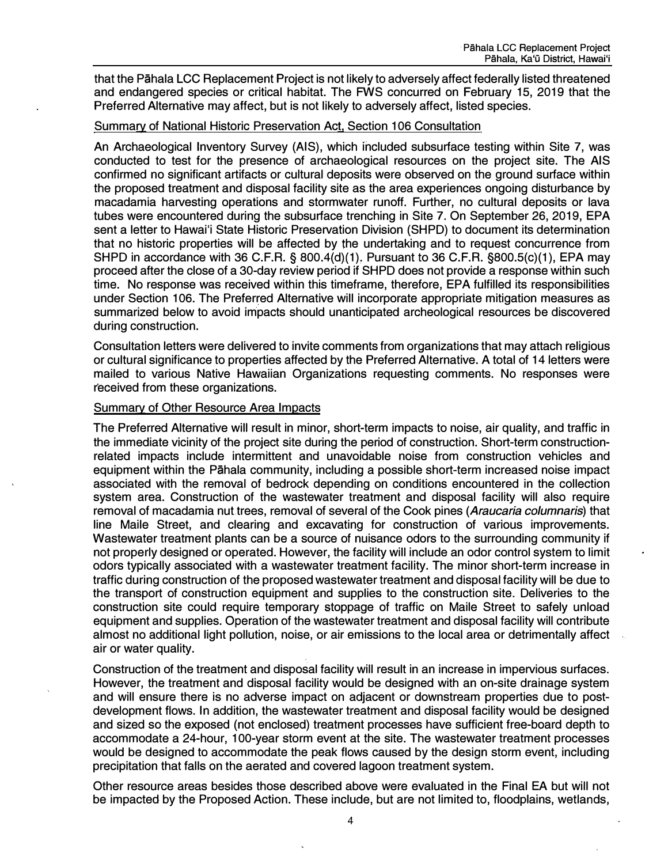that the Pahala LCC Replacement Project is not likely to adversely affect federally listed threatened and endangered species or critical habitat. The FWS concurred on February 15, 2019 that the Preferred Alternative may affect, but is not likely to adversely affect, listed species.

### Summary of National Historic Preservation Act, Section 106 Consultation

An Archaeological Inventory Survey (AIS), which included subsurface testing within Site 7, was conducted to test for the presence of archaeological resources on the project site. The AIS confirmed no significant artifacts or cultural deposits were observed on the ground surface within the proposed treatment and disposal facility site as the area experiences ongoing disturbance by macadamia harvesting operations and stormwater runoff. Further, no cultural deposits or lava tubes were encountered during the subsurface trenching in Site 7. On September 26, 2019, EPA sent a letter to Hawai'i State Historic Preservation Division (SHPD) to document its determination that no historic properties will be affected by the undertaking and to request concurrence from SHPD in accordance with 36 C.F.R. § 800.4(d)(1). Pursuant to 36 C.F.R. §800.5(c)(1), EPA may proceed after the close of a 30-day review period if SHPD does not provide a response within such time. No response was received within this timeframe, therefore, EPA fulfilled its responsibilities under Section 106. The Preferred Alternative will incorporate appropriate mitigation measures as summarized below to avoid impacts should unanticipated archeological resources be discovered during construction.

Consultation letters were delivered to invite comments from organizations that may attach religious or cultural significance to properties affected by the Preferred Alternative. A total of 14 letters were mailed to various Native Hawaiian Organizations requesting comments. No responses were received from these organizations.

#### **Summary of Other Resource Area Impacts**

The Preferred Alternative will result in minor, short-term impacts to noise, air quality, and traffic in the immediate vicinity of the project site during the period of construction. Short-term constructionrelated impacts include intermittent and unavoidable noise from construction vehicles and equipment within the Pahala community, including a possible short-term increased noise impact associated with the removal of bedrock depending on conditions encountered in the collection system area. Construction of the wastewater treatment and disposal facility will also require removal of macadamia nuttrees, removal of several of the Cook pines *(Araucaria co/umnaris)* that line Maile Street, and clearing and excavating for construction of various improvements. Wastewater treatment plants can be a source of nuisance odors to the surrounding community if not properly designed or operated. However, the facility will include an odor control system to limit odors typically associated with a wastewater treatment facility. The minor short-term increase in traffic during construction of the proposed wastewater treatment and disposal facility will be due to the transport of construction equipment and supplies to the construction site. Deliveries to the construction site could require temporary stoppage of traffic on Maile Street to safely unload equipment and supplies. Operation of the wastewater treatment and disposal facility will contribute almost no additional light pollution, noise, or air emissions to the local area or detrimentally affect air or water quality.

Construction of the treatment and disposal facility will result in an increase in impervious surfaces. However, the treatment and disposal facility would be designed with an on-site drainage system and will ensure there is no adverse impact on adjacent or downstream properties due to postdevelopment flows. In addition, the wastewater treatment and disposal facility would be designed and sized so the exposed (not enclosed) treatment processes have sufficient free-board depth to accommodate a 24-hour, 100-year storm event at the site. The wastewater treatment processes would be designed to accommodate the peak flows caused by the design storm event, including precipitation that falls on the aerated and covered lagoon treatment system.

Other resource areas besides those described above were evaluated in the Final EA but will not be impacted by the Proposed Action. These include, but are not limited to, floodplains, wetlands,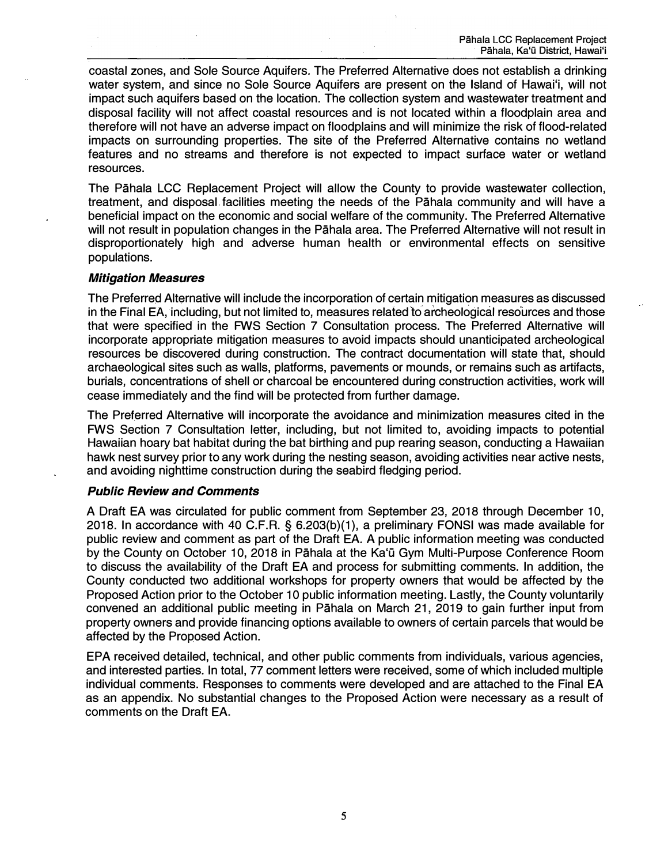coastal zones, and Sole Source Aquifers. The Preferred Alternative does not establish a drinking water system, and since no Sole Source Aquifers are present on the Island of Hawai'i, will not impact such aquifers based on the location. The collection system and wastewater treatment and disposal facility will not affect coastal resources and is not located within a floodplain area and therefore will not have an adverse impact on floodplains and will minimize the risk of flood-related impacts on surrounding properties. The site of the Preferred Alternative contains no wetland features and no streams and therefore is not expected to impact surface water or wetland resources.

The Pahala LCC Replacement Project will allow the County to provide wastewater collection, treatment, and disposal. facilities meeting the needs of the Pahala community and will have a beneficial impact on the economic and social welfare of the community. The Preferred Alternative will not result in population changes in the Pahala area. The Preferred Alternative will not result in disproportionately high and adverse human health or environmental effects on sensitive populations.

## *Mitigation Measures*

The Preferred Alternative will include the incorporation of certain mitigation measures as discussed in the Final EA, including, but not limited to, measures related to archeological resources and those that were specified in the FWS Section 7 Consultation process. The Preferred Alternative will incorporate appropriate mitigation measures to avoid impacts should unanticipated archeological resources be discovered during construction. The contract documentation will state that, should archaeological sites such as walls, platforms, pavements or mounds, or remains such as artifacts, burials, concentrations of shell or charcoal be encountered during construction activities, work will cease immediately and the find will be protected from further damage.

The Preferred Alternative will incorporate the avoidance and minimization measures cited in the FWS Section 7 Consultation letter, including, but not limited to, avoiding impacts to potential Hawaiian hoary bat habitat during the bat birthing and pup rearing season, conducting a Hawaiian hawk nest survey prior to any work during the nesting season, avoiding activities near active nests, and avoiding nighttime construction during the seabird fledging period.

## *Public Review and Comments*

A Draft EA was circulated for public comment from September 23, 2018 through December 10, 2018. In accordance with 40 C.F.R. § 6.203(b)(1), a preliminary FONSI was made available for public review and comment as part of the Draft EA. A public information meeting was conducted by the County on October 10, 2018 in Pāhala at the Ka'ū Gym Multi-Purpose Conference Room to discuss the availability of the Draft EA and process for submitting comments. In addition, the County conducted two additional workshops for property owners that would be affected by the Proposed Action prior to the October 10 public information meeting. Lastly, the County voluntarily convened an additional public meeting in Pahala on March 21, 2019 to gain further input from property owners and provide financing options available to owners of certain parcels that would be affected by the Proposed Action.

EPA received detailed, technical, and other public comments from individuals, various agencies, and interested parties. In total, 77 comment letters were received, some of which included multiple individual comments. Responses to comments were developed and are attached to the Final EA as an appendix. No substantial changes to the Proposed Action were necessary as a result of comments on the Draft EA.